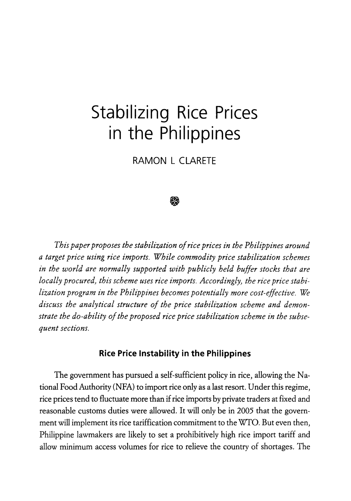# **Stabilizing Rice Prices in the Philippines**

**RAMON L CLARETE** 



*This paper proposes the stabilization of rice prices in the Philippines around a target price using rice imports. While commodity price stabilization schemes in the world are normally supported with publicly held buffer stocks that are locally procured, this scheme uses rice imports. Accordingly, the rice price stabilization program in the Philippines becomes potentially more cost-effective. We discuss the analytical structure of the price stabilization scheme and demonstrate the do-ability of the proposed rice price stabilization scheme in the subsequent sections.* 

# **Rice Price Instability in the Philippines**

The government has pursued a self-sufficient policy in rice, allowing the National Food Authority (NFA) to import rice only as a last resort. Under this regime, rice prices tend to fluctuate more than if rice imports by private traders at fixed and reasonable customs duties were allowed. It will only be in 2005 that the government will implement its rice tariffication commitment to the WTO. But even then, Philippine lawmakers are likely to set a prohibitively high rice import tariff and allow minimum access volumes for rice to relieve the country of shortages. The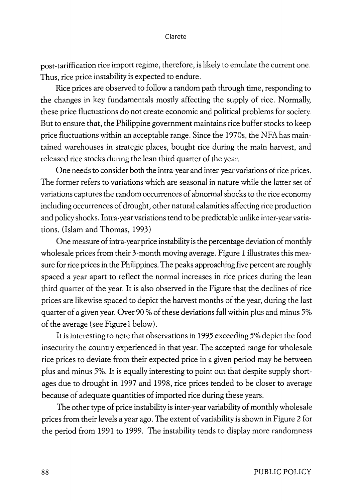post-tariffication rice import regime, therefore, is likely to emulate the current one. Thus, rice price instability is expected to endure.

Rice prices are observed to follow a random path through time, responding to the changes in key fundamentals mostly affecting the supply of rice. Normally, these price fluctuations do not create economic and political problems for society. But to ensure that, the Philippine government maintains rice buffer stocks to keep price fluctuations within an acceptable range. Since the 1970s, the NFA has maintained warehouses in strategic places, bought rice during the main harvest, and released rice stocks during the lean third quarter of the year.

One needs to consider both the intra-year and inter-year variations of rice prices. The former refers to variations which are seasonal in nature while the latter set of variations captures the random occurrences of abnormal shocks to the rice economy including occurrences of drought, other natural calamities affecting rice production and policy shocks. Intra-year variations tend to be predictable unlike inter-year variations. (Islam and Thomas, 1993)

One measure of intra-year price instability is the percentage deviation of monthly wholesale prices from their 3-month moving average. Figure 1 illustrates this measure for rice prices in the Philippines. The peaks approaching five percent are roughly spaced a year apart to reflect the normal increases in rice prices during the lean third quarter of the year. It is also observed in the Figure that the declines of rice prices are likewise spaced to depict the harvest months of the year, during the last quarter of a given year. Over 90 % of these deviations fall within plus and minus 5% of the average (see Figure 1 below).

It is interesting to note that observations in 1995 exceeding 5% depict the food insecurity the country experienced in that year. The accepted range for wholesale rice prices to deviate from their expected price in a given period may be between plus and minus 5%. It is equally interesting to point out that despite supply shortages due to drought in 1997 and 1998, rice prices tended to be closer to average because of adequate quantities of imported rice during these years.

The other type of price instability is inter-year variability of monthly wholesale prices from their levels a year ago. The extent of variability is shown in Figure 2 for the period from 1991 to 1999. The instability tends to display more randomness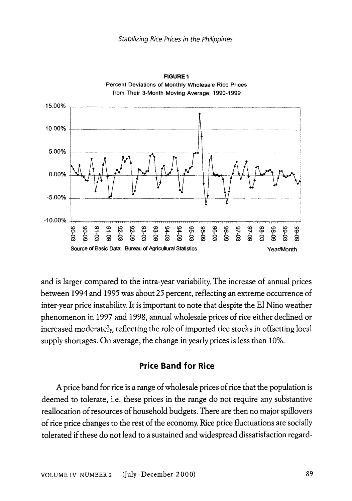

**FIGURE1**  Percent Deviations of Monthly Wholesale Rice Prices

and is larger compared to the intra-year variability. The increase of annual prices between 1994 and 1995 was about *25* percent, reflecting an extreme occurrence of inter-year price instability. It is important to note that despite the E1 Nino weather phenomenon in 1997 and 1998, annual wholesale prices of rice either declined or increased moderately, reflecting the role of imported rice stocks in offsetting local supply shortages. On average, the change in yearly prices is less than 10%.

# **Price Band for Rice**

A price band for rice is a range of wholesale prices of rice that the population is deemed to tolerate, i.e. these prices in the range do not require any substantive reallocation of resources of household budgets. There are then no major spillovers of rice price changes to the rest of the economy. Rice price fluctuations are socially tolerated if these do not lead to a sustained and widespread dissatisfaction regard-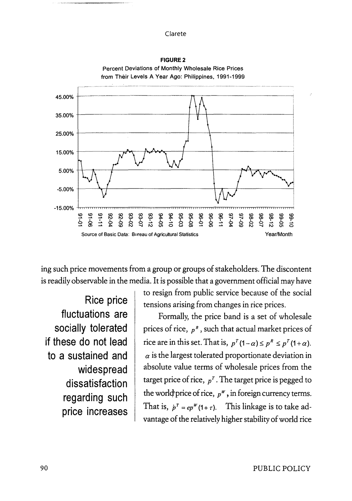

**FIGURE2**  Percent Deviations of Monthly Wholesale Rice Prices

ing such price movements from a group or groups of stakeholders. The discontent is readily observable in the media. It is possible that a government official may have

**Rice price fluctuations are socially tolerated if these do not lead to a sustained and widespread dissatisfaction regarding such price increases**  to resign from public service because of the social tensions arising from changes in rice prices.

Formally, the price band is a set of wholesale prices of rice, *p <sup>8</sup> ,* such that actual market prices of rice are in this set. That is,  $p^{T}(1-\alpha) \leq p^{R} \leq p^{T}(1+\alpha)$ .  $\alpha$  is the largest tolerated proportionate deviation in absolute value terms of wholesale prices from the target price of rice,  $p<sup>T</sup>$ . The target price is pegged to the world price of rice,  $p^w$ , in foreign currency terms. That is,  $p^r = ep^w(1 + \tau)$ . This linkage is to take advantage of the relatively higher stability of world rice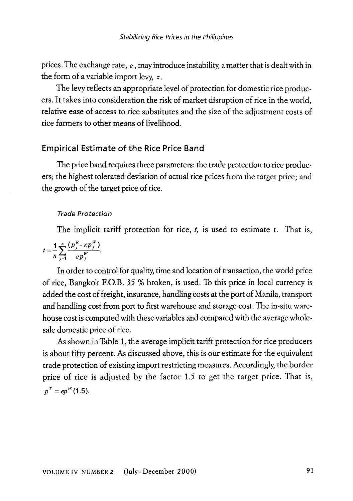prices. The exchange rate, *e,* may introduce instability, a matter that is dealt with in the form of a variable import levy,  $\tau$ .

The levy reflects an appropriate level of protection for domestic rice producers. It takes into consideration the risk of market disruption of rice in the world, relative ease of access to rice substitutes and the size of the adjustment costs of rice farmers to other means of livelihood.

## **Empirical Estimate of the Rice Price Band**

The price band requires three parameters: the trade protection to rice producers; the highest tolerated deviation of actual rice prices from the target price; and the growth of the target price of rice.

## *Trade Protection*

The implicit tariff protection for rice, *t,* is used to estimate t. That is,

$$
t = \frac{1}{n} \sum_{j=1}^{n} \frac{(p_j^R - ep_j^W)}{ep_j^W}.
$$

In order to control for quality, time and location of transaction, the world price of rice, Bangkok F.O.B. 35% broken, is used. To this price in local currency is added the cost of freight, insurance, handling costs at the port of Manila, transport and handling cost from port to first warehouse and storage cost. The in-situ warehouse cost is computed with these variables and compared with the average wholesale domestic price of rice.

As shown in Table 1, the average implicit tariff protection for rice producers is about fifty percent. As discussed above, this is our estimate for the equivalent trade protection of existing import restricting measures. Accordingly, the border price of rice is adjusted by the factor 1.5 to get the target price. That is,  $p^T = ep^W(1.5)$ .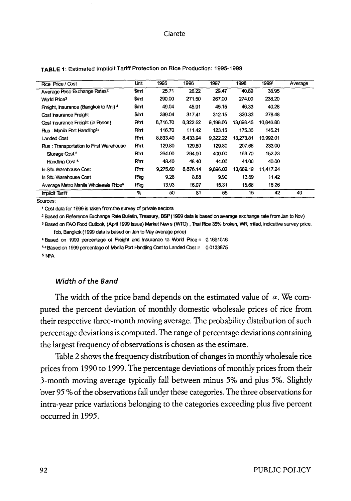| Rice Price / Cost                                 | Unit                   | 1995     | 1996     | 1997     | 1998      | 19991     | Average |
|---------------------------------------------------|------------------------|----------|----------|----------|-----------|-----------|---------|
| Average Peso Exchange Rates <sup>2</sup>          | \$/m                   | 25.71    | 26.22    | 29.47    | 40.89     | 38.95     |         |
| World Price <sup>3</sup>                          | \$/mt                  | 290.00   | 271.50   | 267.00   | 274.00    | 238.20    |         |
| Freight, Insurance (Bangkok to Mni) 4             | $\frac{\epsilon}{\pi}$ | 49.04    | 45.91    | 45.15    | 46.33     | 40.28     |         |
| Cost insurance Freight                            | \$/rr                  | 339.04   | 317.41   | 312.15   | 320.33    | 278.48    |         |
| Cost insurance Freight (in Pesos)                 | Pint                   | 8,716.70 | 8,322.52 | 9.199.06 | 13.098.45 | 10,846.80 |         |
| Plus: Manila Port Handling <sup>5a</sup>          | Pm                     | 116.70   | 111.42   | 123.15   | 175.36    | 145.21    |         |
| Landed Cost                                       | <b>Pmt</b>             | 8.833.40 | 8.433.94 | 9,322.22 | 13,273.81 | 10.992.01 |         |
| <b>Plus: Transportation to First Warehouse</b>    | Pm                     | 129.80   | 129.80   | 129.80   | 207.68    | 233.00    |         |
| Storage Cost <sup>5</sup>                         | Pm                     | 264.00   | 264.00   | 400.00   | 163.70    | 152.23    |         |
| Handling Cost <sup>5</sup>                        | Pm                     | 48.40    | 48.40    | 44.00    | 44.00     | 40.00     |         |
| <b>h Situ Warehouse Cost</b>                      | Pmt                    | 9,275.60 | 8,876.14 | 9.896.02 | 13,689.19 | 11,417.24 |         |
| <b>h Situ Warehouse Cost</b>                      | Pîkg                   | 9.28     | 8.88     | 9.90     | 13.69     | 11.42     |         |
| Average Metro Manila Wholesale Price <sup>6</sup> | Pikg                   | 13.93    | 16.07    | 15.31    | 15.68     | 16.26     |         |
| <b>Implicit Tariff</b>                            | %                      | 50       | 81       | 55       | 15        | 42        | 49      |

#### **TABLE** 1: Estimated Implicit Tariff Protection on Rice Production: 1995-1999

Sources:

<sup>1</sup>Cost data for 1999 is taken from the survey of private sectors

<sup>2</sup> Based on Reference Exchange Rate Bulletin, Treasury, BSP (1999 data is based on average exchange rate from Jan to Nov)

<sup>3</sup> Based on FAO Food Outlook, (April 1999 Issue) Market New s (WTO), Thai Rice 35% broken, WR. rrilled, indicative survey price, fob, Bangkok ( 1999 data is based on Jan to May average price)

4 Based on 1999 percentage of Freight and Insurance to World Price = 0.1691016

\$ a Based on 1999 percentage of Manila Port Handling Cost to Landed Cost = 0.0133875

s r-.FA

## Width of the Band

The width of the price band depends on the estimated value of  $\alpha$ . We computed the percent deviation of monthly domestic wholesale prices of rice from their respective three-month moving average. The probability distribution of such percentage deviations is computed. The range of percentage deviations containing the largest frequency of observations is chosen as the estimate.

Table 2 shows the frequency distribution of changes in monthly wholesale rice prices from 1990 to 1999. The percentage deviations of monthly prices from their 3-month moving average typically fall between minus 5% and plus 5%. Slightly over 95 % of the observations fall under these categories. The three observations for intra-year price variations belonging to the categories exceeding plus five percent occurred in 1995.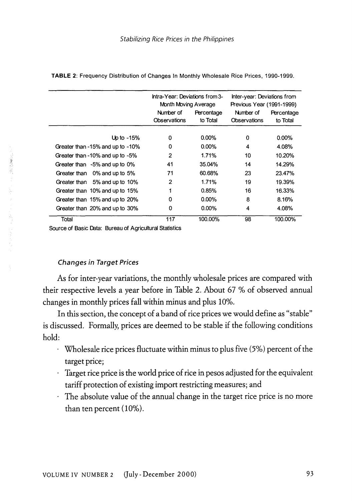|                                  | Intra-Year: Deviations from 3-<br>Month Moving Average |                        | Inter-year: Deviations from<br>Previous Year (1991-1999) |                        |  |
|----------------------------------|--------------------------------------------------------|------------------------|----------------------------------------------------------|------------------------|--|
|                                  | Number of<br>Observations                              | Percentage<br>to Total | Number of<br>Observations                                | Percentage<br>to Total |  |
| Up to $-15%$                     | 0                                                      | $0.00\%$               | 0                                                        | $0.00\%$               |  |
| Greater than -15% and up to -10% | 0                                                      | $0.00\%$               | 4                                                        | 4.08%                  |  |
| Greater than -10% and up to -5%  | 2                                                      | 1.71%                  | 10                                                       | 10.20%                 |  |
| Greater than -5% and up to 0%    | 41                                                     | 35.04%                 | 14                                                       | 14.29%                 |  |
| Greater than 0% and up to 5%     | 71                                                     | 60.68%                 | 23                                                       | 23.47%                 |  |
| Greater than 5% and up to 10%    | 2                                                      | 1.71%                  | 19                                                       | 19.39%                 |  |
| Greater than 10% and up to 15%   |                                                        | 0.85%                  | 16                                                       | 16.33%                 |  |
| Greater than 15% and up to 20%   | 0                                                      | $0.00\%$               | 8                                                        | 8.16%                  |  |
| Greater than 20% and up to 30%   | 0                                                      | $0.00\%$               | 4                                                        | 4.08%                  |  |
| Total                            | 117                                                    | 100.00%                | 98                                                       | 100.00%                |  |

**TABLE** 2: Frequency Distribution of Changes In Monthly Wholesale Rice Prices, 1990-1999.

Source of Basic Deta: Bureau of Agricultural Statistics

## Changes in Target Prices

As for inter-year variations, the monthly wholesale prices are compared with their respective levels a year before in Table 2. About 67% of observed annual changes in monthly prices fall within minus and plus 10%.

In this section, the concept of a band of rice prices we would define as "stable" is discussed. Formally, prices are deemed to be stable if the following conditions hold:

- Wholesale rice prices fluctuate within minus to plus five  $(5%)$  percent of the target price;
- Target rice price is the world price of rice in pesos adjusted for the equivalent tariff protection of existing import restricting measures; and
- The absolute value of the annual change in the target rice price is no more than ten percent (10%).

(「上の)の)がいい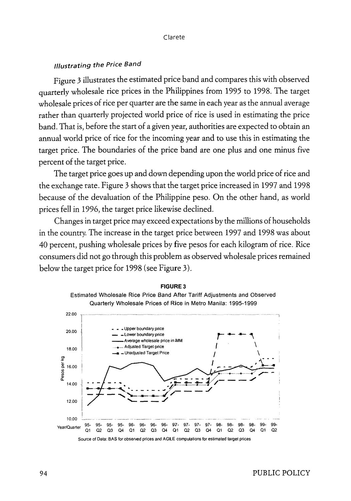# /1/ustrating the Price Band

Figure *3* illustrates the estimated price band and compares this with observed quarterly wholesale rice prices in the Philippines from 1995 to 1998. The target wholesale prices of rice per quarter are the same in each year as the annual average rather than quarterly projected world price of rice is used in estimating the price band. That is, before the start of a given year, authorities are expected to obtain an annual world price of rice for the incoming year and to use this in estimating the target price. The boundaries of the price band are one plus and one minus five percent of the target price.

The target price goes up and down depending upon the world price of rice and the exchange rate. Figure 3 shows that the target price increased in 1997 and 1998 because of the devaluation of the Philippine peso. On the other hand, as world prices fell in 1996, the target price likewise declined.

Changes in target price may exceed expectations by the millions of households in the country. The increase in the target price between 1997 and 1998 was about 40 percent, pushing wholesale prices by five pesos for each kilogram of rice. Rice consumers did not go through this problem as observed wholesale prices remained below the target price for 1998 (see Figure 3).



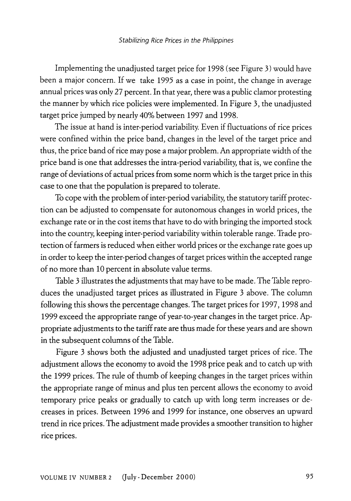Implementing the unadjusted target price for 1998 (see Figure 3) would have been a major concern. If we take 1995 as a case in point, the change in average annual prices was only 27 percent. In that year, there was a public clamor protesting the manner by which rice policies were implemented. In Figure 3, the unadjusted target price jumped by nearly 40% between 1997 and 1998.

The issue at hand is inter-period variability. Even if fluctuations of rice prices were confined within the price band, changes in the level of the target price and thus, the price band of rice may pose a major problem. An appropriate width of the price band is one that addresses the intra-period variability, that is, we confine the range of deviations of actual prices from some norm which is the target price in this case to one that the population is prepared to tolerate.

To cope with the problem of inter-period variability, the statutory tariff protection can be adjusted to compensate for autonomous changes in world prices, the exchange rate or in the cost items that have to do with bringing the imported stock into the country, keeping inter-period variability within tolerable range. Trade protection of farmers is reduced when either world prices or the exchange rate goes up in order to keep the inter-period changes of target prices within the accepted range of no more than 10 percent in absolute value terms.

Table 3 illustrates the adjustments that may have to be made. The Table reproduces the unadjusted target prices as illustrated in Figure 3 above. The column following this shows the percentage changes. The target prices for 1997, 1998 and 1999 exceed the appropriate range of year-to-year changes in the target price. Appropriate adjustments to the tariff rate are thus made for these years and are shown in the subsequent columns of the Table.

Figure 3 shows both the adjusted and unadjusted target prices of rice. The adjustment allows the economy to avoid the 1998 price peak and to catch up with the 1999 prices. The rule of thumb of keeping changes in the target prices within the appropriate range of minus and plus ten percent allows the economy to avoid temporary price peaks or gradually to catch up with long term increases or decreases in prices. Between 1996 and 1999 for instance, one observes an upward trend in rice prices. The adjustment made provides a smoother transition to higher rice prices.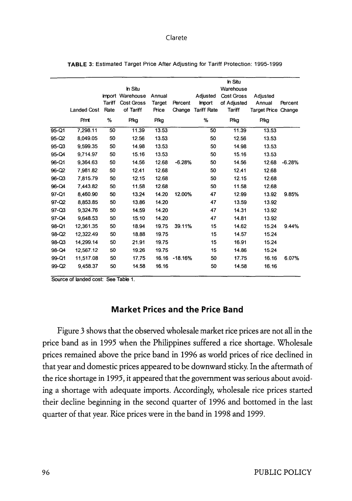|           |             |        | In Situ                        |                  |           |                           | In Situ<br>Warehouse      |                            |          |
|-----------|-------------|--------|--------------------------------|------------------|-----------|---------------------------|---------------------------|----------------------------|----------|
|           |             | Tariff | Import Warehouse<br>Cost Gross | Annual<br>Target | Percent   | Adjusted<br><b>Import</b> | Cost Gross<br>of Adjusted | Adjusted<br>Annual         | Percent  |
|           | Landed Cost | Rate   | of Tariff                      | Price            | Change    | <b>Tariff Rate</b>        | Tariff                    | <b>Target Price Change</b> |          |
|           | P/mt        | %      | P/kg                           | P/kg             |           | %                         | P/kg                      | P/kg                       |          |
| 95-Q1     | 7.298.11    | 50     | 11.39                          | 13.53            |           | 50                        | 11.39                     | 13.53                      |          |
| 95-Q2     | 8.049.05    | 50     | 12.56                          | 13.53            |           | 50                        | 12.56                     | 13.53                      |          |
| 95-Q3     | 9.599.35    | 50     | 14.98                          | 13.53            |           | 50                        | 14.98                     | 13.53                      |          |
| 95-Q4     | 9,714.97    | 50     | 15.16                          | 13.53            |           | 50                        | 15.16                     | 13.53                      |          |
| 96-Q1     | 9.364.63    | 50     | 14.56                          | 12.68            | $-6.28%$  | 50                        | 14.56                     | 12.68                      | $-6.28%$ |
| $96 - 02$ | 7.981.82    | 50     | 12.41                          | 12.68            |           | 50                        | 12.41                     | 12.68                      |          |
| 96-Q3     | 7.815.79    | 50     | 12.15                          | 12.68            |           | 50                        | 12.15                     | 12.68                      |          |
| 96-Q4     | 7.443.82    | 50     | 11.58                          | 12.68            |           | 50                        | 11.58                     | 12.68                      |          |
| 97-Q1     | 8.460.90    | 50     | 13.24                          | 14.20            | 12.00%    | 47                        | 12.99                     | 13.92                      | 9.85%    |
| 97-Q2     | 8.853.85    | 50     | 13.86                          | 14.20            |           | 47                        | 13.59                     | 13.92                      |          |
| 97-Q3     | 9,324.76    | 50     | 14.59                          | 14.20            |           | 47                        | 14.31                     | 13.92                      |          |
| 97-Q4     | 9.648.53    | 50     | 15.10                          | 14.20            |           | 47                        | 14.81                     | 13.92                      |          |
| 98-Q1     | 12,361.35   | 50     | 18.94                          | 19.75            | 39.11%    | 15                        | 14.62                     | 15.24                      | 9.44%    |
| 98-Q2     | 12,322.49   | 50     | 18.88                          | 19.75            |           | 15                        | 14.57                     | 15.24                      |          |
| 98-Q3     | 14.299.14   | 50     | 21.91                          | 19.75            |           | 15                        | 16.91                     | 15.24                      |          |
| 98-Q4     | 12.567.12   | 50     | 19.26                          | 19.75            |           | 15                        | 14.86                     | 15.24                      |          |
| 99-Q1     | 11.517.08   | 50     | 17.75                          | 16.16            | $-18.16%$ | 50                        | 17.75                     | 16.16                      | 6.07%    |
| 99-Q2     | 9,458.37    | 50     | 14.58                          | 16.16            |           | 50                        | 14.58                     | 16.16                      |          |
|           |             |        |                                |                  |           |                           |                           |                            |          |

**TABLE** 3: Estimated Target Price After Adjusting for Tariff Protection: 1995-1999

Source of landed cost: See Table 1.

# **Market Prices and the Price Band**

Figure 3 shows that the observed wholesale market rice prices are not all in the price band as in 1995 when the Philippines suffered a rice shortage. Wholesale prices remained above the price band in 1996 as world prices of rice declined in that year and domestic prices appeared to be downward sticky. In the aftermath of the rice shortage in 1995, it appeared that the government was serious about avoiding a shortage with adequate imports. Accordingly, wholesale rice prices started their decline beginning in the second quarter of 1996 and bottomed in the last quarter of that year. Rice prices were in the band in 1998 and 1999.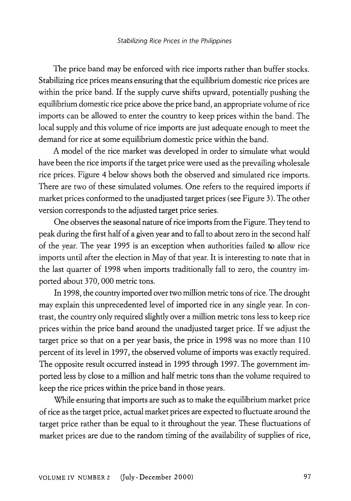The price band may be enforced with rice imports rather than buffer stocks. Stabilizing rice prices means ensuring that the equilibrium domestic rice prices are within the price band. If the supply curve shifts upward, potentially pushing the equilibrium domestic rice price above the price band, an appropriate volume of rice imports can be allowed to enter the country to keep prices within the band. The local supply and this volume of rice imports are just adequate enough to meet the demand for rice at some equilibrium domestic price within the band.

A model of the rice market was developed in order to simulate what would have been the rice imports if the target price were used as the prevailing wholesale rice prices. Figure 4 below shows both the observed and simulated rice imports. There are two of these simulated volumes. One refers to the required imports if market prices conformed to the unadjusted target prices (see Figure 3). The other version corresponds to the adjusted target price series.

One obsetves the seasonal nature of rice imports from the Figure. They tend to peak during the first half of a given year and to fall to about zero in the second half of the year. The year 1995 is an exception when authorities failed to allow rice imports until after the election in May of that year. It is interesting to note that in the last quarter of 1998 when imports traditionally fall to zero, the country imported about 370, 000 metric tons.

In 1998, the country imported over two million metric tons of rice. The drought may explain this unprecedented level of imported rice in any single year. In contrast, the country only required slightly over a million metric tons less to keep rice prices within the price band around the unadjusted target price. If we adjust the target price so that on a per year basis, the price in 1998 was no more than 110 percent of its level in 1997, the obsetved volume of imports was exactly required. The opposite result occurred instead in 1995 through 1997. The government imported less by close to a million and half metric tons than the volume required to keep the rice prices within the price band in those years.

While ensuring that imports are such as to make the equilibrium market price of rice as the target price, actual market prices are expected to fluctuate around the target price rather than be equal to it throughout the year. These fluctuations of market prices are due to the random timing of the availability of supplies of rice,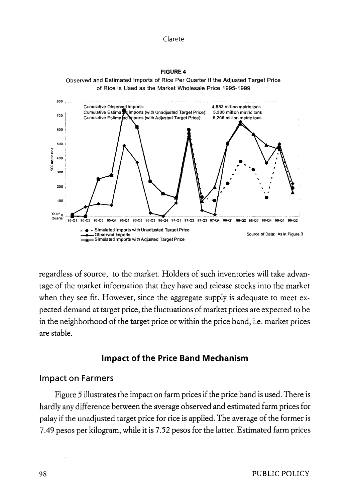**FJGURE4**  Observed and Estimated Imports of Rice Per Quarter If the Adjusted Target Price of Rice is Used as the Market Wholesale Price 1995-1999



regardless of source, to the market. Holders of such inventories will take advantage of the market information that they have and release stocks into the market when they see fit. However, since the aggregate supply is adequate to meet expected demand at target price, the fluctuations of market prices are expected to be in the neighborhood of the target price or within the price band, i.e. market prices are stable.

# **Impact of the Price Band Mechanism**

## **Impact on Farmers**

Figure *5* illustrates the impact on farm prices if the price band is used. There is hardly any difference between the average observed and estimated farm prices for palay if the unadjusted target price for rice is applied. The average of the former is 7.49 pesos per kilogram, while it is 7.52 pesos for the latter. Estimated farm prices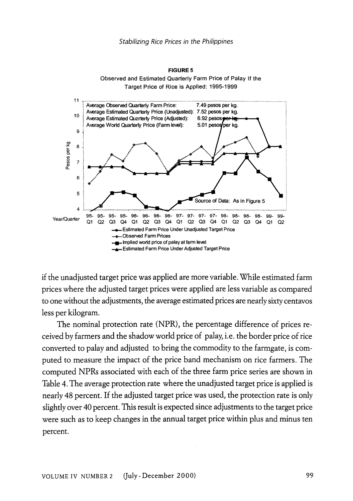

if the unadjusted target price was applied are more variable. While estimated farm prices where the adjusted target prices were applied are less variable as compared to one without the adjustments, the average estimated prices are nearly sixty centavos less per kilogram.

The nominal protection rate (NPR), the percentage difference of prices received by farmers and the shadow world price of palay, i.e. the border price of rice converted to palay and adjusted to bring the commodity to the farmgate, is computed to measure the impact of the price band mechanism on rice farmers. The computed NPRs associated with each of the three farm price series are shown in Table 4. The average protection rate where the unadjusted target price is applied is nearly 48 percent. If the adjusted target price was used, the protection rate is only slightly over 40 percent. This result is expected since adjustments to the target price were such as to keep changes in the annual target price within plus and minus ten percent.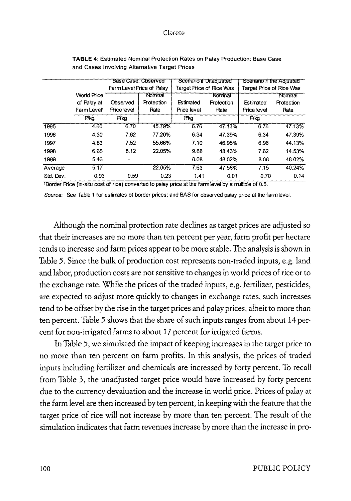|           |                         | Base Case: Observed       |            | Scenario if Unadiusted   |            | Scenario if the Adiusted |            |  |
|-----------|-------------------------|---------------------------|------------|--------------------------|------------|--------------------------|------------|--|
|           |                         | Farm Level Price of Palay |            | Target Price of Rice Was |            | Target Price of Rice Was |            |  |
|           | World Price             |                           | Nominal    |                          | Nominal    |                          | Nominal    |  |
|           | of Palay at             | Observed                  | Protection | Estimated                | Protection | Estimated                | Protection |  |
|           | Farm Level <sup>1</sup> | Price level               | Rate       | Price level              | Rate       | Price level              | Rate       |  |
|           | P/ka                    | P/kg                      |            | P/kg                     |            | P/ka                     |            |  |
| 1995      | 4.60                    | 6.70                      | 45.79%     | 6.76                     | 47.13%     | 6.76                     | 47.13%     |  |
| 1996      | 4.30                    | 7.62                      | 77.20%     | 6.34                     | 47.39%     | 6.34                     | 47.39%     |  |
| 1997      | 4.83                    | 7.52                      | 55.66%     | 7.10                     | 46.95%     | 6.96                     | 44.13%     |  |
| 1998      | 6.65                    | 8.12                      | 22.05%     | 9.88                     | 48.43%     | 7.62                     | 14.53%     |  |
| 1999      | 5.46                    | $\tilde{}$                |            | 8.08                     | 48.02%     | 8.08                     | 48.02%     |  |
| Average   | 5.17                    |                           | 22.05%     | 7.63                     | 47.58%     | 7.15                     | 40.24%     |  |
| Std. Dev. | 0.93                    | 0.59                      | 0.23       | 1.41                     | 0.01       | 0.70                     | 0.14       |  |

**TABLE 4:** Estimated Nominal Protection Rates on Palay Production: Base Case and Cases Involving Alternative Target Prices

1Border Rice (in-situ cost of rice) converted to palay price at the farm level by a multiple of 0.5.

Source: See Table 1 for estimates of border prices; and BAS for observed palay price at the farm level.

Although the nominal protection rate declines as target prices are adjusted so that their increases are no more than ten percent per year, farm profit per hectare tends to increase and farm prices appear to be more stable. The analysis is shown in Table *5.* Since the bulk of production cost represents non-traded inputs, e.g. land and labor, production costs are not sensitive to changes in world prices of rice or to the exchange rate. While the prices of the traded inputs, e.g. fertilizer, pesticides, are expected to adjust more quickly to changes in exchange rates, such increases tend to be offset by the rise in the target prices and palay prices, albeit to more than ten percent. Table 5 shows that the share of such inputs ranges from about 14 percent for non-irrigated farms to about 17 percent for irrigated farms.

In Table *5,* we simulated the impact of keeping increases in the target price to no more than ten percent on farm profits. In this analysis, the prices of traded inputs including fertilizer and chemicals are increased by forty percent. To recall from Table 3, the unadjusted target price would have increased by forty percent due to the currency devaluation and the increase in world price. Prices of palay at the farm level are then increased by ten percent, in keeping with the feature that the target price of rice will not increase by more than ten percent. The result of the simulation indicates that farm revenues increase by more than the increase in pro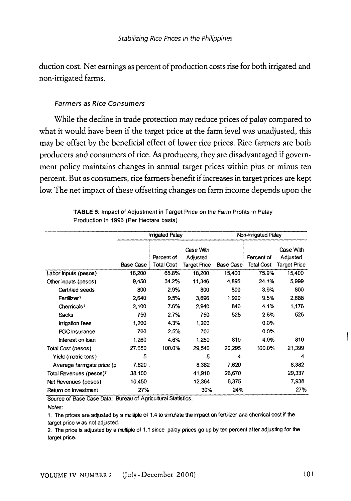duction cost. Net earnings as percent of production costs rise for both irrigated and non-irrigated farms.

## Farmers as Rice Consumers

While the decline in trade protection may reduce prices of palay compared to what it would have been if the target price at the farm level was unadjusted, this may be offset by the beneficial effect of lower rice prices. Rice farmers are both producers and consumers of rice. As producers, they are disadvantaged if government policy maintains changes in annual target prices within plus or minus ten percent. But as consumers, rice farmers benefit if increases in target prices are kept low. The net impact of these offsetting changes on farm income depends upon the

|                                     |           | <b>trigated Palay</b>           |                                       | Non-irrigated Palay |                                 |                                              |  |  |
|-------------------------------------|-----------|---------------------------------|---------------------------------------|---------------------|---------------------------------|----------------------------------------------|--|--|
|                                     | Base Case | Percent of<br><b>Total Cost</b> | Case With<br>Adjusted<br>Target Price | <b>Base Case</b>    | Percent of<br><b>Total Cost</b> | Case With<br>Adjusted<br><b>Target Price</b> |  |  |
| Labor inputs (pesos)                | 18,200    | 65.8%                           | 18,200                                | 15,400              | 75.9%                           | 15,400                                       |  |  |
| Other inputs (pesos)                | 9,450     | 34.2%                           | 11.346                                | 4,895               | 24.1%                           | 5,999                                        |  |  |
| Certified seeds                     | 800       | 2.9%                            | 800                                   | 800                 | 3.9%                            | 800                                          |  |  |
| Fertilizer <sup>1</sup>             | 2,640     | 9.5%                            | 3,696                                 | 1,920               | 9.5%                            | 2,688                                        |  |  |
| Chemicals <sup>1</sup>              | 2,100     | 7.6%                            | 2,940                                 | 840                 | 4.1%                            | 1,176                                        |  |  |
| Sacks                               | 750       | 2.7%                            | 750                                   | 525                 | 2.6%                            | 525                                          |  |  |
| <b>Irrigation fees</b>              | 1,200     | 4.3%                            | 1.200                                 |                     | $0.0\%$                         |                                              |  |  |
| PCIC Insurance                      | 700       | 2.5%                            | 700                                   |                     | $0.0\%$                         |                                              |  |  |
| Interest on loan                    | 1,260     | 4.6%                            | 1,260                                 | 810                 | 4.0%                            | 810                                          |  |  |
| Total Cost (pesos)                  | 27,650    | 100.0%                          | 29,546                                | 20,295              | 100.0%                          | 21,399                                       |  |  |
| Yield (metric tons)                 | 5         |                                 | 5                                     | 4                   |                                 | 4                                            |  |  |
| Average farmgate price (p           | 7,620     |                                 | 8,382                                 | 7,620               |                                 | 8,382                                        |  |  |
| Total Revenues (pesos) <sup>2</sup> | 38,100    |                                 | 41.910                                | 26,670              |                                 | 29,337                                       |  |  |
| Net Revenues (pesos)                | 10,450    |                                 | 12,364                                | 6,375               |                                 | 7,938                                        |  |  |
| Return on investment                | 27%       |                                 | 30%                                   | 24%                 |                                 | 27%                                          |  |  |

**TABLE** 5: Impact of Adjustment in Target Price on the Farm Profits in Palay Production in 1996 (Per Hectare basis)

Source of Base Case Data: Bureau of Agricultural Statistics.

1. The prices are adjusted by a multiple of 1.4 to simulate the irrpact on fertilizer and chenical cost if the target price was not adjusted.

2. The price is adjusted by a multiple of 1.1 since palay prices go up by ten percent after adjusting for the target price.

Notes: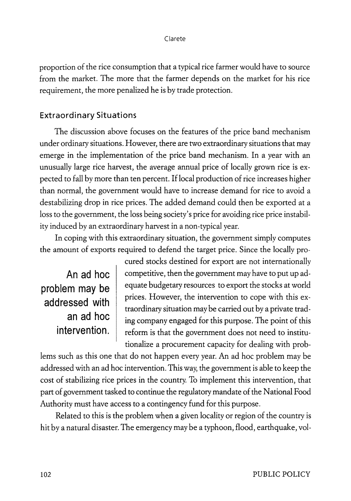proportion of the rice consumption that a typical rice farmer would have to source from the market. The more that the farmer depends on the market for his rice requirement, the more penalized he is by trade protection.

# **Extraordinary Situations**

The discussion above focuses on the features of the price band mechanism under ordinary situations. However, there are two extraordinary situations that may emerge in the implementation of the price band mechanism. In a year with an unusually large rice harvest, the average annual price of locally grown rice is expected to fall by more than ten percent. If local production of rice increases higher than normal, the government would have to increase demand for rice to avoid a destabilizing drop in rice prices. The added demand could then be exported at a loss to the government, the loss being society's price for avoiding rice price instability induced by an extraordinary harvest in a non-typical year.

In coping with this extraordinary situation, the government simply computes the amount of exports required to defend the target price. Since the locally pro-

**An ad hoc problem may be addressed with an ad hoc** 

cured stocks destined for export are not internationally competitive, then the government may have to put up adequate budgetary resources to export the stocks at world prices. However, the intervention to cope with this extraordinary situation may be carried out by a private trading company engaged for this purpose. The point of this **intervention.** reform is that the government does not need to institutionalize a procurement capacity for dealing with prob-

lems such as this one that do not happen every year. An ad hoc problem may be addressed with an ad hoc intervention. This way, the government is able to keep the cost of stabilizing rice prices in the country. To implement this intervention, that part of government tasked to continue the regulatory mandate of the National Food Authority must have access to a contingency fund for this purpose.

Related to this is the problem when a given locality or region of the country is hit by a natural disaster. The emergency may be a typhoon, flood, earthquake, vol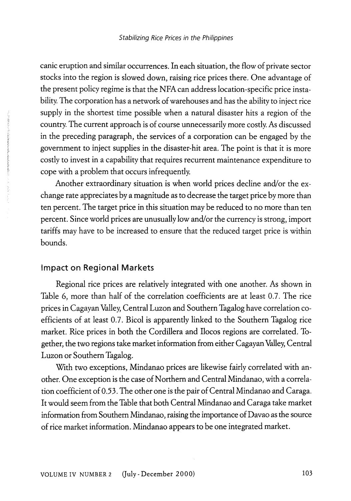canic eruption and similar occurrences. In each situation, the flow of private sector stocks into the region is slowed down, raising rice prices there. One advantage of the present policy regime is that the NFA can address location-specific price instability. The corporation has a network of warehouses and has the ability to inject rice supply in the shortest time possible when a natural disaster hits a region of the country. The current approach is of course unnecessarily more costly. As discussed in the preceding paragraph, the services of a corporation can be engaged by the government to inject supplies in the disaster-hit area. The point is that it is more costly to invest in a capability that requires recurrent maintenance expenditure to cope with a problem that occurs infrequently.

Another extraordinary situation is when world prices decline and/or the exchange rate appreciates by a magnitude as to decrease the target price by more than ten percent. The target price in this situation may be reduced to no more than ten percent. Since world prices are unusually low and/or the currency is strong, import tariffs may have to be increased to ensure that the reduced target price is within bounds.

## **Impact on Regional Markets**

Regional rice prices are relatively integrated with one another. As shown in Table 6, more than half of the correlation coefficients are at least 0.7. The rice prices in Cagayan Valley, Central Luzon and Southern Tagalog have correlation coefficients of at least 0.7. Bicol is apparently linked to the Southern Tagalog rice market. Rice prices in both the Cordillera and Ilocos regions are correlated. Together, the two regions take market information from either Cagayan Valley, Central Luzon or Southern Tagalog.

With two exceptions, Mindanao prices are likewise fairly correlated with another. One exception is the case of Northern and Central Mindanao, with a correlation coefficient of *0.53.* The other one is the pair of Central Mindanao and Caraga. It would seem from the Table that both Central Mindanao and Caraga take market information from Southern Mindanao, raising the importance of Davao as the source of rice market information. Mindanao appears to be one integrated market.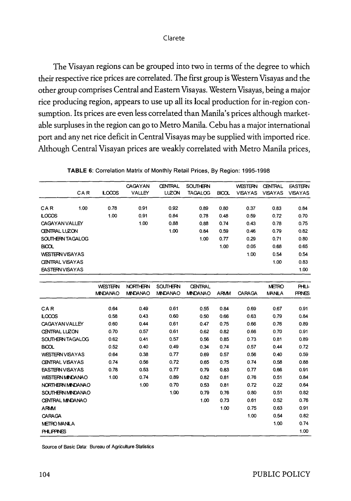The Visayan regions can be grouped into two in terms of the degree to which their respective rice prices are correlated. The first group is Western Visayas and the other group comprises Central and Eastern Visayas. Western Visayas, being a major rice producing region, appears to use up all its local production for in-region consumption. Its prices are even less correlated than Manila's prices although marketable surpluses in the region can go to Metro Manila. Cebu has a major international port and any net rice deficit in Central Visayas may be supplied with imported rice. Although Central Visayan prices are weakly correlated with Metro Manila prices,

|                          | TABLE 6: Correlation Matrix of Monthly Retail Prices, By Region: 1995-1998 |                |                 |                 |                 |              |                |                |                |  |  |
|--------------------------|----------------------------------------------------------------------------|----------------|-----------------|-----------------|-----------------|--------------|----------------|----------------|----------------|--|--|
|                          |                                                                            |                | CAGAYAN         | <b>CENTRAL</b>  | <b>SOUTHERN</b> |              | <b>WESTERN</b> | <b>CENTRAL</b> | <b>EASTERN</b> |  |  |
|                          | CAR                                                                        | LOCOS          | <b>VALLEY</b>   | <b>LUZON</b>    | <b>TAGALOG</b>  | <b>BICOL</b> | <b>VISAYAS</b> | <b>VISAYAS</b> | <b>VISAYAS</b> |  |  |
|                          |                                                                            |                |                 |                 |                 |              |                |                |                |  |  |
| CAR                      | 1.00                                                                       | 0.78           | 0.91            | 0.92            | 0.89            | 0.80         | 0.37           | 0.83           | 0.84           |  |  |
| LOCOS                    |                                                                            | 1.00           | 0.91            | 0.84            | 0.78            | 0.48         | 0.59           | 0.72           | 0.70           |  |  |
| CAGAYAN VALLEY           |                                                                            |                | 1.00            | 0.88            | 0.88            | 0.74         | 0.43           | 0.78           | 0.75           |  |  |
| <b>CENTRAL LUZON</b>     |                                                                            |                |                 | 1.00            | 0.84            | 0.59         | 0.46           | 0.79           | 0.82           |  |  |
| SOUTHERN TAGALOG         |                                                                            |                |                 |                 | 1.00            | 0.77         | 0.29           | 0.71           | 0.80           |  |  |
| <b>BICOL</b>             |                                                                            |                |                 |                 |                 | 1.00         | 0.05           | 0.68           | 0.65           |  |  |
| <b>WESTERN VISAYAS</b>   |                                                                            |                |                 |                 |                 |              | 1.00           | 0.54           | 0.54           |  |  |
| <b>CENTRAL VISAYAS</b>   |                                                                            |                |                 |                 |                 |              |                | 1.00           | 0.83           |  |  |
| <b>EASTERN VISAYAS</b>   |                                                                            |                |                 |                 |                 |              |                |                | 1.00           |  |  |
|                          |                                                                            |                |                 |                 |                 |              |                |                |                |  |  |
|                          |                                                                            | <b>WESTERN</b> | <b>NORTHERN</b> | <b>SOUTHERN</b> | <b>CENTRAL</b>  |              |                | <b>METRO</b>   | <b>PHLI-</b>   |  |  |
|                          |                                                                            | <b>MNDANAO</b> | <b>MNDANAO</b>  | <b>MNDANAO</b>  | <b>MNDANAO</b>  | ARMM         | CARAGA         | <b>MANILA</b>  | <b>FFINES</b>  |  |  |
|                          |                                                                            |                |                 |                 |                 |              |                |                |                |  |  |
| CAR                      |                                                                            | 0.64           | 0.49            | 0.61            | 0.55            | 0.84         | 0.69           | 0.67           | 0.91           |  |  |
| LOCOS                    |                                                                            | 0.58           | 0.43            | 0.60            | 0.50            | 0.66         | 0.63           | 0.79           | 0.84           |  |  |
| <b>CAGAYAN VALLEY</b>    |                                                                            | 0.60           | 0.44            | 0.61            | 0.47            | 0.75         | 0.66           | 0.76           | 0.89           |  |  |
| CENTRAL LUZON            |                                                                            | 0.70           | 0.57            | 0.61            | 0.62            | 0.82         | 0.66           | 0.70           | 0.91           |  |  |
| SOUTHERN TAGALOG         |                                                                            | 0.62           | 0.41            | 0.57            | 0.56            | 0.85         | 0.73           | 0.81           | 0.89           |  |  |
| <b>BICOL</b>             |                                                                            | 0.52           | 0.40            | 0.49            | 0.34            | 0.74         | 0.57           | 0.44           | 0.72           |  |  |
| <b>WESTERN VISAYAS</b>   |                                                                            | 0.64           | 0.38            | 0.77            | 0.69            | 0.57         | 0.56           | 0.40           | 0.59           |  |  |
| <b>CENTRAL VISAYAS</b>   |                                                                            | 0.74           | 0.56            | 0,72            | 0.65            | 0.75         | 0.74           | 0.58           | 0.88           |  |  |
| <b>EASTERN VISAY AS</b>  |                                                                            | 0.78           | 0.53            | 0.77            | 0.79            | 0.83         | 0.77           | 0.66           | 0.91           |  |  |
| WESTERN MINDANAO         |                                                                            | 1.00           | 0.74            | 0.89            | 0.82            | 0.81         | 0.76           | 0.51           | 0.84           |  |  |
| NORTHERN MINDANAO        |                                                                            |                | 1.00            | 0.70            | 0.53            | 0.81         | 0.72           | 0.22           | 0.64           |  |  |
| <b>SOUTHERN MINDANAO</b> |                                                                            |                |                 | 1,00            | 0.79            | 0.76         | 0.80           | 0.51           | 0.82           |  |  |
| CENTRAL MINDANAO         |                                                                            |                |                 |                 | 1.00            | 0.73         | 0.61           | 0.52           | 0.76           |  |  |
| ARMM                     |                                                                            |                |                 |                 |                 | 1.00         | 0.75           | 0.63           | 0.91           |  |  |
| <b>CARAGA</b>            |                                                                            |                |                 |                 |                 |              | 1.00           | 0.54           | 0.82           |  |  |
| <b>METRO MANILA</b>      |                                                                            |                |                 |                 |                 |              |                | 1.00           | 0.74           |  |  |
| <b>PHLIPPINES</b>        |                                                                            |                |                 |                 |                 |              |                |                | 1.00           |  |  |

|  | TABLE 6: Correlation Matrix of Monthly Retail Prices, By Region: 1995-1998 |  |  |  |  |
|--|----------------------------------------------------------------------------|--|--|--|--|
|  |                                                                            |  |  |  |  |

Source of Basic Data: Bureau of Agriculture Statistics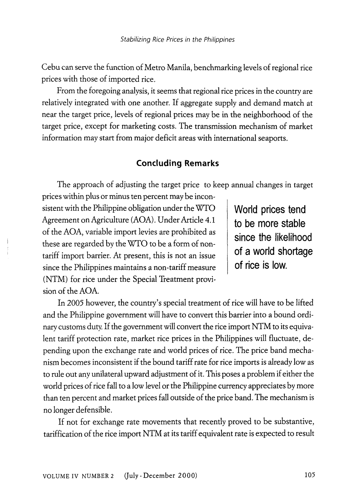Cebu can serve the function of Metro Manila, benchmarking levels of regional rice prices with those of imported rice.

From the foregoing analysis, it seems that regional rice prices in the country are relatively integrated with one another. If aggregate supply and demand match at near the target price, levels of regional prices may be in the neighborhood of the target price, except for marketing costs. The transmission mechanism of market information may start from major deficit areas with international seaports.

# **Concluding Remarks**

The approach of adjusting the target price to keep annual changes in target prices within plus or minus ten percent may be incon-

sistent with the Philippine obligation under the WfO Agreement on Agriculture (AOA). Under Article 4.1 of the AOA, variable import levies are prohibited as these are regarded by the WTO to be a form of nontariff import barrier. At present, this is not an issue since the Philippines maintains a non-tariff measure (NTM) for rice under the Special Treatment provision of the AOA.

**World prices tend to be more stable since the likelihood of a world shortage of rice is low.** 

In *2005* however, the country's special treatment of rice will have to be lifted and the Philippine government will have to convert this barrier into a bound ordinary customs duty. If the government will convert the rice import NTM to its equivalent tariff protection rate, market rice prices in the Philippines will fluctuate, depending upon the exchange rate and world prices of rice. The price band mechanism becomes inconsistent if the bound tariff rate for rice imports is already low as to rule out any unilateral upward adjustment of it. This poses a problem if either the world prices of rice fall to a low level or the Philippine currency appreciates by more than ten percent and market prices fall outside of the price band. The mechanism is no longer defensible.

If not for exchange rate movements that recently proved to be substantive, tariffication of the rice import NTM at its tariff equivalent rate is expected to result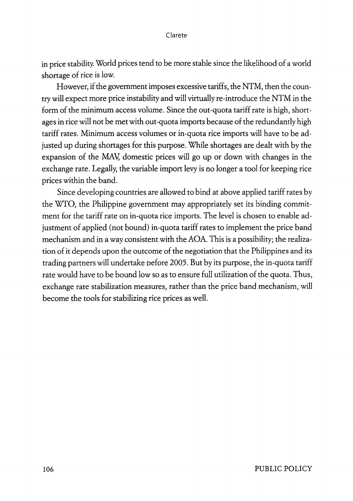in price stability. World prices tend to be more stable since the likelihood of a world shortage of rice is low.

However, if the government imposes excessive tariffs, the NTM, then the country will expect more price instability and will virtually re-introduce the NTM in the form of the minimum access volume. Since the out-quota tariff rate is high, shortages in rice will not be met with out-quota imports because of the redundantly high tariff rates. Minimum access volumes or in-quota rice imports will have to be adjusted up during shortages for this purpose. While shortages are dealt with by the expansion of the MAV, domestic prices will go up or down with changes in the exchange rate. Legally, the variable import levy is no longer a tool for keeping rice prices within the band.

Since developing countries are allowed to bind at above applied tariff rates by the WTO, the Philippine government may appropriately set its binding commitment for the tariff rate on in-quota rice imports. The level is chosen to enable adjustment of applied (not bound) in-quota tariff rates to implement the price band mechanism and in a way consistent with the AOA. This is a possibility; the realization of it depends upon the outcome of the negotiation that the Philippines and its trading partners will undertake oefore 2005. But by its purpose, the in-quota tariff rate would have to be bound low so as to ensure full utilization of the quota. Thus, exchange rate stabilization measures, rather than the price band mechanism, will become the tools for stabilizing rice prices as well.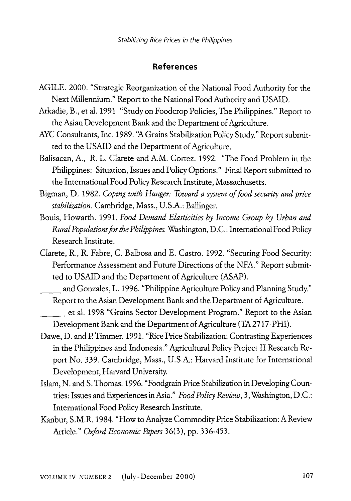## **References**

- AGILE. 2000. "Strategic Reorganization of the National Food Authority for the Next Millennium." Report to the National Food Authority and USAID.
- Arkadie, B., et al. 1991. "Study on Foodcrop Policies, The Philippines." Report to the Asian Development Bank and the Department of Agriculture.
- AYC Consultants, Inc. 1989. "A Grains Stabilization Policy Study." Report submitted to the USAID and the Department of Agriculture.
- Balisacan, A., R. L. Clarete and A.M. Cortez. 1992. "The Food Problem in the Philippines: Situation, Issues and Policy Options." Final Report submitted to the International Food Policy Research Institute, Massachusetts.
- Bigman, D. 1982. *Coping with Hunger: Toward a system of food security and price stabilization.* Cambridge, Mass., U.S.A.: Ballinger.
- Bouis, Howarth. 1991. *Food Demand Elasticities by Income Group by Urban and Rural Populations for the Philippines.* Washington, D.C.: International Food Policy Research Institute.
- Clarete, R., R. Fabre, C. Balbosa and E. Castro. 1992. "Securing Food Security: Performance Assessment and Future Directions of the NFA." Report submitted to USAID and the Department of Agriculture (ASAP).

and Gonzales, L. 1996. "Philippine Agriculture Policy and Planning Study." Report to the Asian Development Bank and the Department of Agriculture.

\_\_ , et al. 1998 "Grains Sector Development Program." Report to the Asian Development Bank and the Department of Agriculture (TA 2717 -PHI).

- Dawe, D. and P. Timmer. 1991. "Rice Price Stabilization: Contrasting Experiences in the Philippines and Indonesia." Agricultural Policy Project II Research Report No. 339. Cambridge, Mass., U.S.A.: Harvard Institute for International Development, Harvard University.
- Islam, N. and S. Thomas. 1996. "Foodgrain Price Stabilization in Developing Countries: Issues and Experiences in Asia." *Food Policy Review,* 3, Washington, D.C.: International Food Policy Research Institute.
- Kanbur, S.M.R. 1984. "How to Analyze Commodity Price Stabilization: A Review Article." *Oxford Economic Papers* 36(3), pp. 336-453.